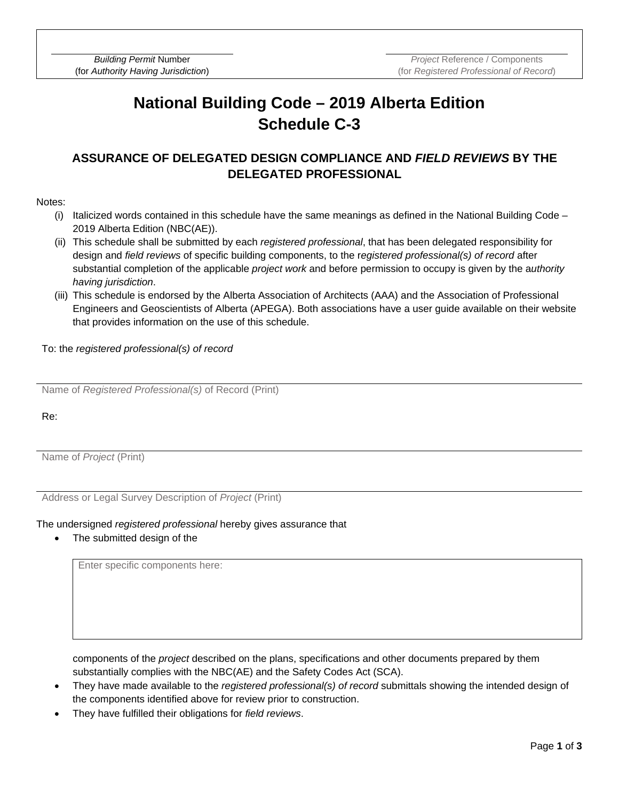## **National Building Code – 2019 Alberta Edition Schedule C-3**

### **ASSURANCE OF DELEGATED DESIGN COMPLIANCE AND** *FIELD REVIEWS* **BY THE DELEGATED PROFESSIONAL**

#### Notes:

- (i) Italicized words contained in this schedule have the same meanings as defined in the National Building Code 2019 Alberta Edition (NBC(AE)).
- (ii) This schedule shall be submitted by each *registered professional*, that has been delegated responsibility for design and *field reviews* of specific building components, to the r*egistered professional(s) of record* after substantial completion of the applicable *project work* and before permission to occupy is given by the a*uthority having jurisdiction*.
- (iii) This schedule is endorsed by the Alberta Association of Architects (AAA) and the Association of Professional Engineers and Geoscientists of Alberta (APEGA). Both associations have a user guide available on their website that provides information on the use of this schedule.

To: the *registered professional(s) of record*

Name of *Registered Professional(s)* of Record (Print)

Re:

Name of *Project* (Print)

Address or Legal Survey Description of *Project* (Print)

#### The undersigned *registered professional* hereby gives assurance that

The submitted design of the

Enter specific components here:

components of the *project* described on the plans, specifications and other documents prepared by them substantially complies with the NBC(AE) and the Safety Codes Act (SCA).

- They have made available to the *registered professional(s) of record* submittals showing the intended design of the components identified above for review prior to construction.
- They have fulfilled their obligations for *field reviews*.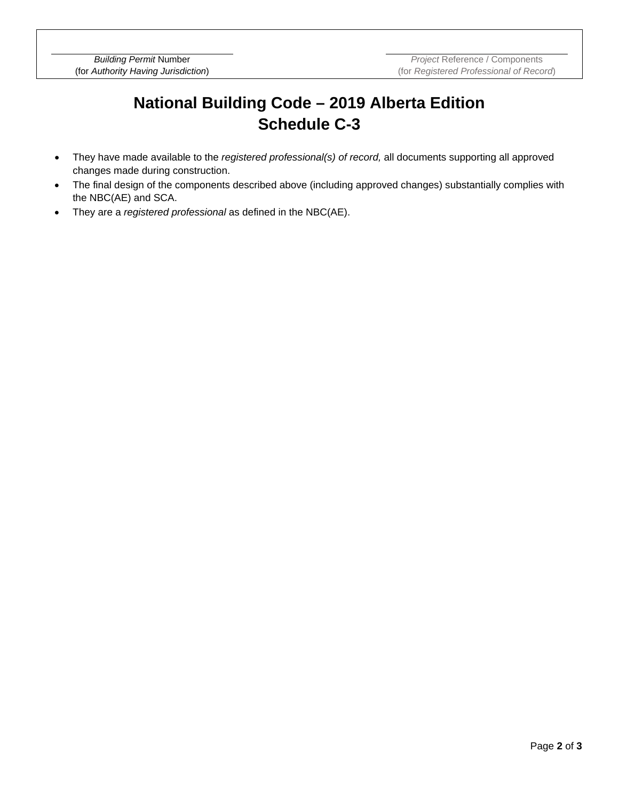# **National Building Code – 2019 Alberta Edition Schedule C-3**

- They have made available to the *registered professional(s) of record,* all documents supporting all approved changes made during construction.
- The final design of the components described above (including approved changes) substantially complies with the NBC(AE) and SCA.
- They are a *registered professional* as defined in the NBC(AE).